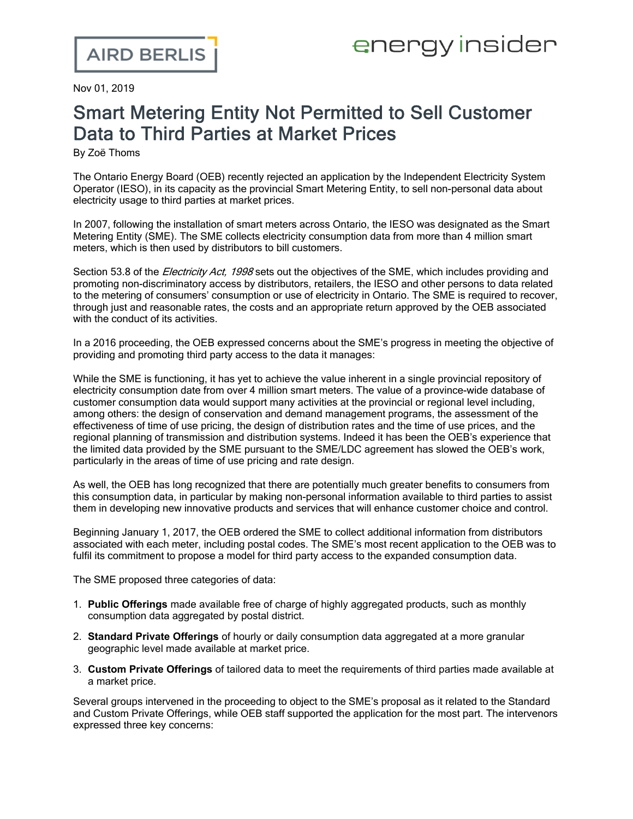Nov 01, 2019

## Smart Metering Entity Not Permitted to Sell Customer Data to Third Parties at Market Prices

By Zoë Thoms

The Ontario Energy Board (OEB) recently rejected an application by the [Independent](http://www.rds.oeb.ca/HPECMWebDrawer/Record/656380/File/document) Electricity System Operator (IESO), in its capacity as the provincial Smart Metering Entity, to sell [non-personal](http://www.rds.oeb.ca/HPECMWebDrawer/Record/656380/File/document) data about [electricity](http://www.rds.oeb.ca/HPECMWebDrawer/Record/656380/File/document) usage to third parties at market prices.

In 2007, following the installation of smart meters across Ontario, the IESO was [designated](http://www.ieso.ca/en/Sector-Participants/Smart-Metering-Entity/SME-Overview) as the Smart [Metering](http://www.ieso.ca/en/Sector-Participants/Smart-Metering-Entity/SME-Overview) Entity (SME). The SME collects electricity consumption data from more than 4 million smart meters, which is then used by distributors to bill customers.

Section 53.8 of the *Electricity Act, 1998* sets out the objectives of the SME, which includes providing and promoting non-discriminatory access by distributors, retailers, the IESO and other persons to data related to the metering of consumers' consumption or use of electricity in Ontario. The SME is required to recover, through just and reasonable rates, the costs and an appropriate return approved by the OEB associated with the conduct of its activities.

In a 2016 [proceeding,](http://www.rds.oeb.ca/HPECMWebDrawer/Record/514358/File/document) the OEB expressed concerns about the SME's progress in meeting the objective of providing and [promoting](http://www.rds.oeb.ca/HPECMWebDrawer/Record/514358/File/document) third party access to the data it manages:

While the SME is functioning, it has yet to achieve the value inherent in a single provincial repository of electricity consumption date from over 4 million smart meters. The value of a province-wide database of customer consumption data would support many activities at the provincial or regional level including, among others: the design of conservation and demand management programs, the assessment of the effectiveness of time of use pricing, the design of distribution rates and the time of use prices, and the regional planning of transmission and distribution systems. Indeed it has been the OEB's experience that the limited data provided by the SME pursuant to the SME/LDC agreement has slowed the OEB's work, particularly in the areas of time of use pricing and rate design.

As well, the OEB has long recognized that there are potentially much greater benefits to consumers from this consumption data, in particular by making non-personal information available to third parties to assist them in developing new innovative products and services that will enhance customer choice and control.

Beginning January 1, 2017, the OEB ordered the SME to collect additional information from distributors associated with each meter, including postal codes. The SME's most recent application to the OEB was to fulfil its commitment to propose a model for third party access to the expanded consumption data.

The SME proposed three categories of data:

- 1. **Public Offerings** made available free of charge of highly aggregated products, such as monthly consumption data aggregated by postal district.
- 2. **Standard Private Offerings** of hourly or daily consumption data aggregated at a more granular geographic level made available at market price.
- 3. **Custom Private Offerings** of tailored data to meet the requirements of third parties made available at a market price.

Several groups intervened in the proceeding to object to the SME's proposal as it related to the Standard and Custom Private Offerings, while OEB staff supported the application for the most part. The intervenors expressed three key concerns: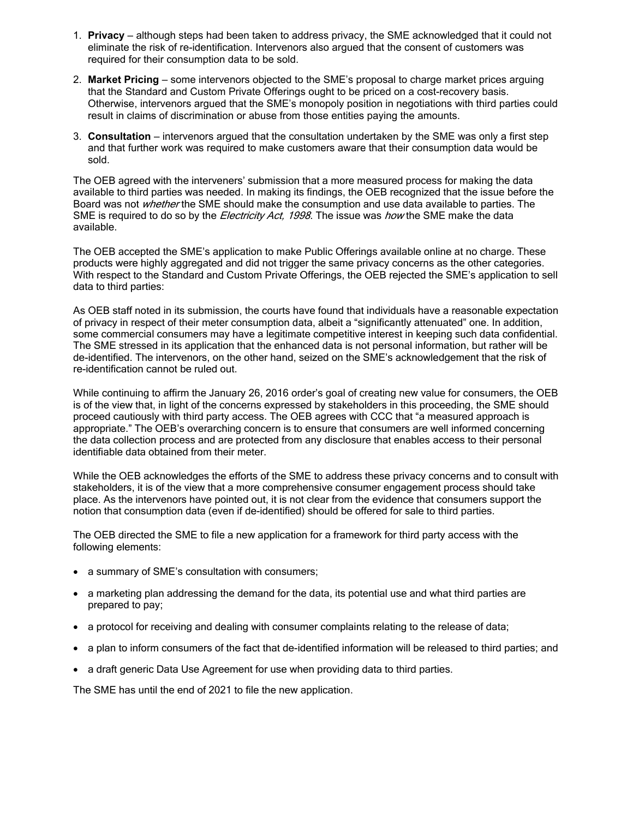- 1. **Privacy** although steps had been taken to address privacy, the SME acknowledged that it could not eliminate the risk of re-identification. Intervenors also argued that the consent of customers was required for their consumption data to be sold.
- 2. **Market Pricing** some intervenors objected to the SME's proposal to charge market prices arguing that the Standard and Custom Private Offerings ought to be priced on a cost-recovery basis. Otherwise, intervenors argued that the SME's monopoly position in negotiations with third parties could result in claims of discrimination or abuse from those entities paying the amounts.
- 3. **Consultation** intervenors argued that the consultation undertaken by the SME was only a first step and that further work was required to make customers aware that their consumption data would be sold.

The OEB agreed with the interveners' submission that a more measured process for making the data available to third parties was needed. In making its findings, the OEB recognized that the issue before the Board was not *whether* the SME should make the consumption and use data available to parties. The SME is required to do so by the *Electricity Act, 1998*. The issue was *how* the SME make the data available.

The OEB accepted the SME's application to make Public Offerings available online at no charge. These products were highly aggregated and did not trigger the same privacy concerns as the other categories. With respect to the Standard and Custom Private Offerings, the OEB rejected the SME's application to sell data to third parties:

As OEB staff noted in its submission, the courts have found that individuals have a reasonable expectation of privacy in respect of their meter consumption data, albeit a "significantly attenuated" one. In addition, some commercial consumers may have a legitimate competitive interest in keeping such data confidential. The SME stressed in its application that the enhanced data is not personal information, but rather will be de-identified. The intervenors, on the other hand, seized on the SME's acknowledgement that the risk of re-identification cannot be ruled out.

While continuing to affirm the January 26, 2016 order's goal of creating new value for consumers, the OEB is of the view that, in light of the concerns expressed by stakeholders in this proceeding, the SME should proceed cautiously with third party access. The OEB agrees with CCC that "a measured approach is appropriate." The OEB's overarching concern is to ensure that consumers are well informed concerning the data collection process and are protected from any disclosure that enables access to their personal identifiable data obtained from their meter.

While the OEB acknowledges the efforts of the SME to address these privacy concerns and to consult with stakeholders, it is of the view that a more comprehensive consumer engagement process should take place. As the intervenors have pointed out, it is not clear from the evidence that consumers support the notion that consumption data (even if de-identified) should be offered for sale to third parties.

The OEB directed the SME to file a new application for a framework for third party access with the following elements:

- · a summary of SME's consultation with consumers;
- a marketing plan addressing the demand for the data, its potential use and what third parties are prepared to pay;
- · a protocol for receiving and dealing with consumer complaints relating to the release of data;
- · a plan to inform consumers of the fact that de-identified information will be released to third parties; and
- · a draft generic Data Use Agreement for use when providing data to third parties.

The SME has until the end of 2021 to file the new application.